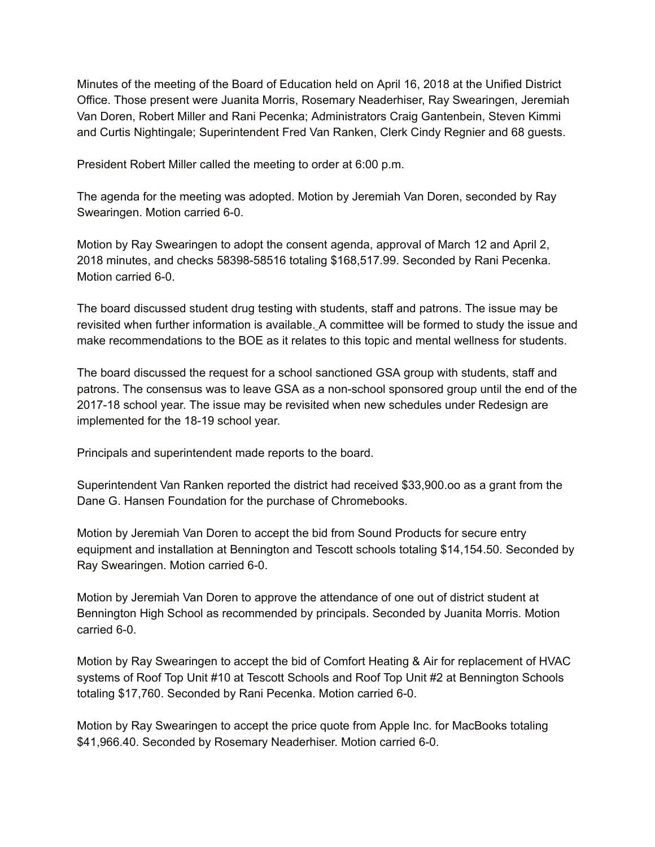Minutes of the meeting of the Board of Education held on April 16, 2018 at the Unified District Office. Those present were Juanita Morris, Rosemary Neaderhiser, Ray Swearingen, Jeremiah Van Doren, Robert Miller and Rani Pecenka; Administrators Craig Gantenbein, Steven Kimmi and Curtis Nightingale; Superintendent Fred Van Ranken, Clerk Cindy Regnier and 68 guests.

President Robert Miller called the meeting to order at 6:00 p.m.

The agenda for the meeting was adopted. Motion by Jeremiah Van Doren, seconded by Ray Swearingen. Motion carried 6-0.

Motion by Ray Swearingen to adopt the consent agenda, approval of March 12 and April 2, 2018 minutes, and checks 58398-58516 totaling \$168,517.99. Seconded by Rani Pecenka. Motion carried 6-0.

The board discussed student drug testing with students, staff and patrons. The issue may be revisited when further information is available. A committee will be formed to study the issue and make recommendations to the BOE as it relates to this topic and mental wellness for students.

The board discussed the request for a school sanctioned GSA group with students, staff and patrons. The consensus was to leave GSA as a non-school sponsored group until the end of the 2017-18 school year. The issue may be revisited when new schedules under Redesign are implemented for the 18-19 school year.

Principals and superintendent made reports to the board.

Superintendent Van Ranken reported the district had received \$33,900.oo as a grant from the Dane G. Hansen Foundation for the purchase of Chromebooks.

Motion by Jeremiah Van Doren to accept the bid from Sound Products for secure entry equipment and installation at Bennington and Tescott schools totaling \$14,154.50. Seconded by Ray Swearingen. Motion carried 6-0.

Motion by Jeremiah Van Doren to approve the attendance of one out of district student at Bennington High School as recommended by principals. Seconded by Juanita Morris. Motion carried 6-0.

Motion by Ray Swearingen to accept the bid of Comfort Heating & Air for replacement of HVAC systems of Roof Top Unit #10 at Tescott Schools and Roof Top Unit #2 at Bennington Schools totaling \$17,760. Seconded by Rani Pecenka. Motion carried 6-0.

Motion by Ray Swearingen to accept the price quote from Apple Inc. for MacBooks totaling \$41,966.40. Seconded by Rosemary Neaderhiser. Motion carried 6-0.